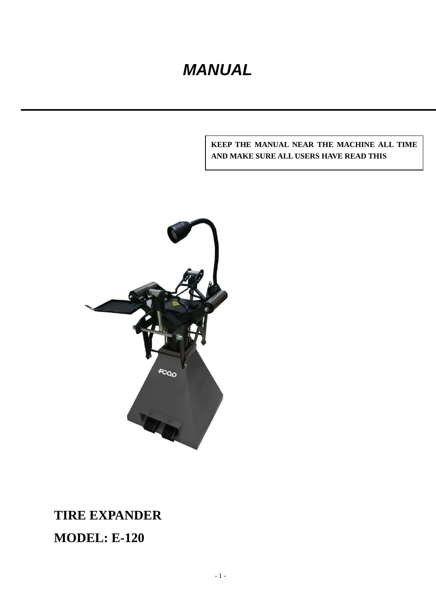# *MANUAL*

#### **KEEP THE MANUAL NEAR THE MACHINE ALL TIME AND MAKE SURE ALL USERS HAVE READ THIS**



# **TIRE EXPANDER MODEL: E-120**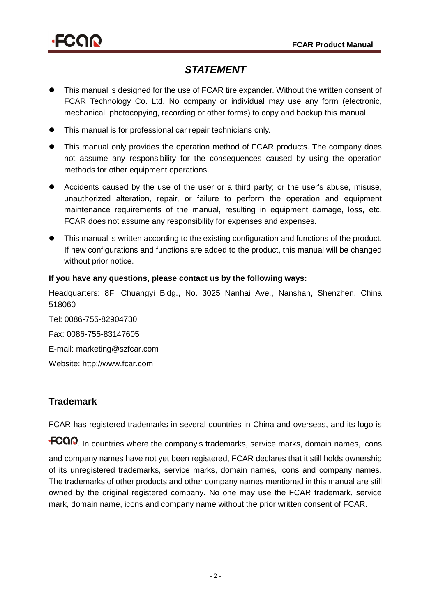

#### *STATEMENT*

- This manual is designed for the use of FCAR tire expander. Without the written consent of FCAR Technology Co. Ltd. No company or individual may use any form (electronic, mechanical, photocopying, recording or other forms) to copy and backup this manual.
- This manual is for professional car repair technicians only.
- This manual only provides the operation method of FCAR products. The company does not assume any responsibility for the consequences caused by using the operation methods for other equipment operations.
- Accidents caused by the use of the user or a third party; or the user's abuse, misuse, unauthorized alteration, repair, or failure to perform the operation and equipment maintenance requirements of the manual, resulting in equipment damage, loss, etc. FCAR does not assume any responsibility for expenses and expenses.
- This manual is written according to the existing configuration and functions of the product. If new configurations and functions are added to the product, this manual will be changed without prior notice.

#### **If you have any questions, please contact us by the following ways:**

Headquarters: 8F, Chuangyi Bldg., No. 3025 Nanhai Ave., Nanshan, Shenzhen, China 518060

Tel: 0086-755-82904730 Fax: 0086-755-83147605 E-mail: marketing@szfcar.com Website: [http://www.fcar.com](http://www.fcar.com/)

#### **Trademark**

FCAR has registered trademarks in several countries in China and overseas, and its logo is

**.FCOI**, In countries where the company's trademarks, service marks, domain names, icons and company names have not yet been registered, FCAR declares that it still holds ownership of its unregistered trademarks, service marks, domain names, icons and company names. The trademarks of other products and other company names mentioned in this manual are still owned by the original registered company. No one may use the FCAR trademark, service mark, domain name, icons and company name without the prior written consent of FCAR.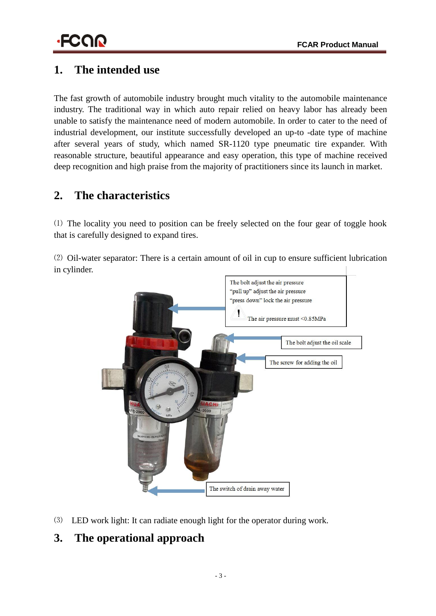# **1. The intended use**

The fast growth of automobile industry brought much vitality to the automobile maintenance industry. The traditional way in which auto repair relied on heavy labor has already been unable to satisfy the maintenance need of modern automobile. In order to cater to the need of industrial development, our institute successfully developed an up-to -date type of machine after several years of study, which named SR-1120 type pneumatic tire expander. With reasonable structure, beautiful appearance and easy operation, this type of machine received deep recognition and high praise from the majority of practitioners since its launch in market.

## **2. The characteristics**

⑴ The locality you need to position can be freely selected on the four gear of toggle hook that is carefully designed to expand tires.

⑵ Oil-water separator: There is a certain amount of oil in cup to ensure sufficient lubrication in cylinder.



⑶ LED work light: It can radiate enough light for the operator during work.

## **3. The operational approach**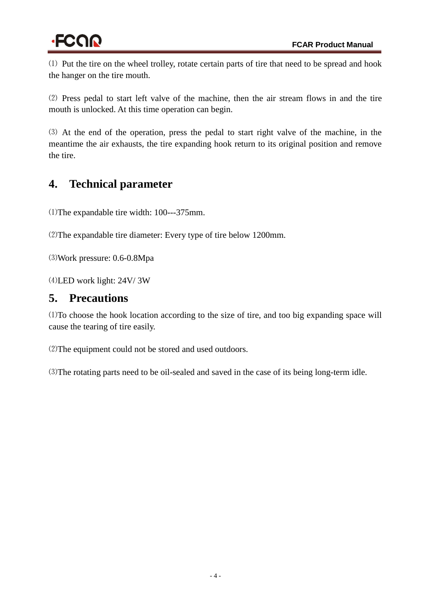⑴ Put the tire on the wheel trolley, rotate certain parts of tire that need to be spread and hook the hanger on the tire mouth.

⑵ Press pedal to start left valve of the machine, then the air stream flows in and the tire mouth is unlocked. At this time operation can begin.

⑶ At the end of the operation, press the pedal to start right valve of the machine, in the meantime the air exhausts, the tire expanding hook return to its original position and remove the tire.

# **4. Technical parameter**

⑴The expandable tire width: 100---375mm.

⑵The expandable tire diameter: Every type of tire below 1200mm.

⑶Work pressure: 0.6-0.8Mpa

⑷LED work light: 24V/ 3W

## **5. Precautions**

⑴To choose the hook location according to the size of tire, and too big expanding space will cause the tearing of tire easily.

⑵The equipment could not be stored and used outdoors.

⑶The rotating parts need to be oil-sealed and saved in the case of its being long-term idle.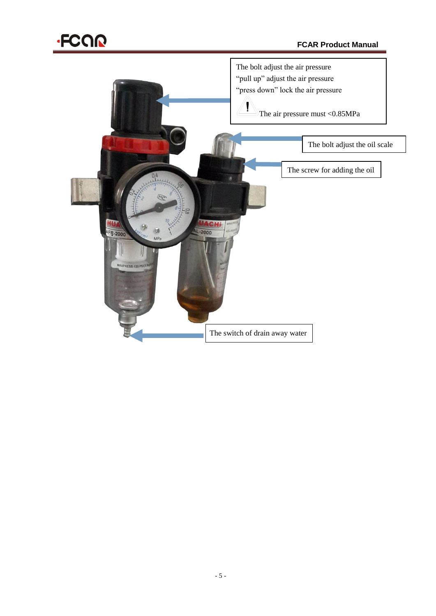